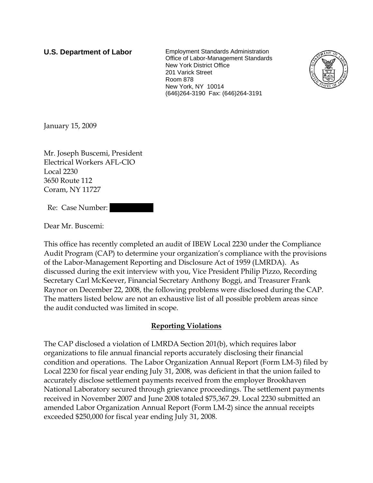**U.S. Department of Labor** Employment Standards Administration Office of Labor-Management Standards New York District Office 201 Varick Street Room 878 New York, NY 10014 (646)264-3190 Fax: (646)264-3191



January 15, 2009

Mr. Joseph Buscemi, President Electrical Workers AFL-CIO Local 2230 3650 Route 112 Coram, NY 11727

Re: Case Number:

Dear Mr. Buscemi:

This office has recently completed an audit of IBEW Local 2230 under the Compliance Audit Program (CAP) to determine your organization's compliance with the provisions of the Labor-Management Reporting and Disclosure Act of 1959 (LMRDA). As discussed during the exit interview with you, Vice President Philip Pizzo, Recording Secretary Carl McKeever, Financial Secretary Anthony Boggi, and Treasurer Frank Raynor on December 22, 2008, the following problems were disclosed during the CAP. The matters listed below are not an exhaustive list of all possible problem areas since the audit conducted was limited in scope.

## **Reporting Violations**

The CAP disclosed a violation of LMRDA Section 201(b), which requires labor organizations to file annual financial reports accurately disclosing their financial condition and operations. The Labor Organization Annual Report (Form LM-3) filed by Local 2230 for fiscal year ending July 31, 2008, was deficient in that the union failed to accurately disclose settlement payments received from the employer Brookhaven National Laboratory secured through grievance proceedings. The settlement payments received in November 2007 and June 2008 totaled \$75,367.29. Local 2230 submitted an amended Labor Organization Annual Report (Form LM-2) since the annual receipts exceeded \$250,000 for fiscal year ending July 31, 2008.